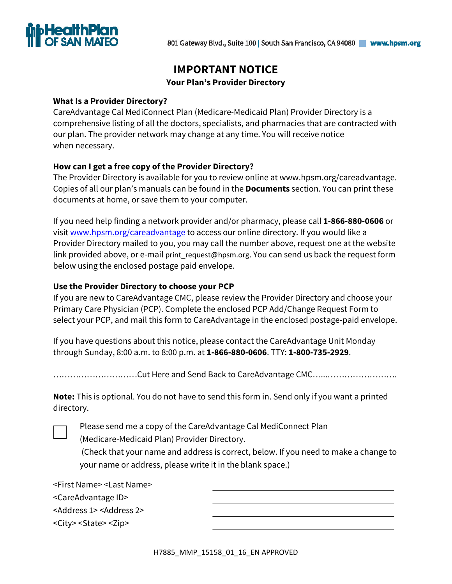

# **IMPORTANT NOTICE**

# **Your Plan's Provider Directory**

# **What Is a Provider Directory?**

CareAdvantage Cal MediConnect Plan (Medicare-Medicaid Plan) Provider Directory is a comprehensive listing of all the doctors, specialists, and pharmacies that are contracted with our plan. The provider network may change at any time. You will receive notice when necessary.

# **How can I get a free copy of the Provider Directory?**

The Provider Directory is available for you to review online at www.hpsm.org/careadvantage. Copies of all our plan's manuals can be found in the **Documents** section. You can print these documents at home, or save them to your computer.

If you need help finding a network provider and/or pharmacy, please call **1-866-880-0606** or visit www.hpsm.org/careadvantage to access our online directory. If you would like a Provider Directory mailed to you, you may call the number above, request one at the website link provided above, or e-mail print\_request@hpsm.org. You can send us back the request form below using the enclosed postage paid envelope.

# **Use the Provider Directory to choose your PCP**

If you are new to CareAdvantage CMC, please review the Provider Directory and choose your Primary Care Physician (PCP). Complete the enclosed PCP Add/Change Request Form to select your PCP, and mail this form to CareAdvantage in the enclosed postage-paid envelope.

If you have questions about this notice, please contact the CareAdvantage Unit Monday through Sunday, 8:00 a.m. to 8:00 p.m. at **1-866-880-0606**. TTY: **1-800-735-2929**.

…………………………Cut Here and Send Back to CareAdvantage CMC…...…………………….

**Note:** This is optional. You do not have to send this form in. Send only if you want a printed directory.

Please send me a copy of the CareAdvantage Cal MediConnect Plan

(Medicare-Medicaid Plan) Provider Directory.

(Check that your name and address is correct, below. If you need to make a change to your name or address, please write it in the blank space.)

| <first name=""> <last name=""></last></first>     |  |
|---------------------------------------------------|--|
| <careadvantage id=""></careadvantage>             |  |
| <address 1=""> <address 2=""></address></address> |  |
| <city> <state> <zip></zip></state></city>         |  |